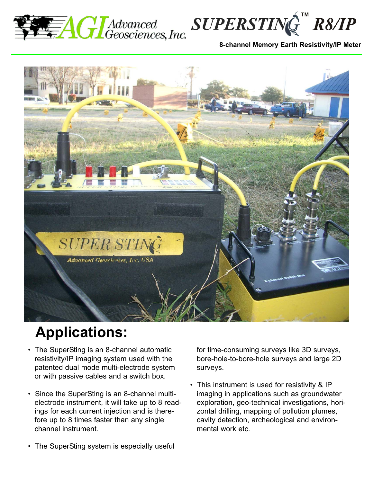





## **Applications:**

- The SuperSting is an 8-channel automatic resistivity/IP imaging system used with the patented dual mode multi-electrode system or with passive cables and a switch box.
- Since the SuperSting is an 8-channel multielectrode instrument, it will take up to 8 readings for each current injection and is therefore up to 8 times faster than any single channel instrument.
- The SuperSting system is especially useful

for time-consuming surveys like 3D surveys, bore-hole-to-bore-hole surveys and large 2D surveys.

• This instrument is used for resistivity & IP imaging in applications such as groundwater exploration, geo-technical investigations, horizontal drilling, mapping of pollution plumes, cavity detection, archeological and environmental work etc.